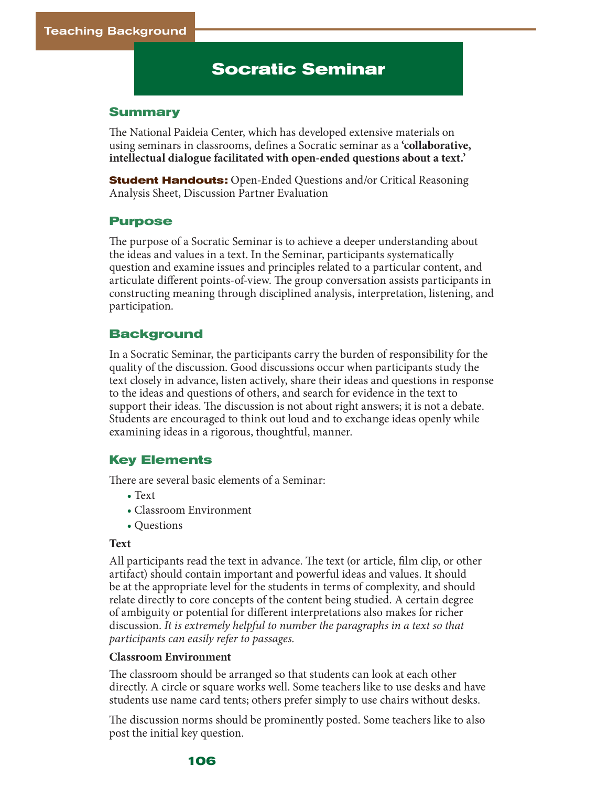# **Socratic Seminar**

#### **Summary**

The National Paideia Center, which has developed extensive materials on using seminars in classrooms, defines a Socratic seminar as a **'collaborative, intellectual dialogue facilitated with open-ended questions about a text.'** 

**Student Handouts:** Open-Ended Questions and/or Critical Reasoning Analysis Sheet, Discussion Partner Evaluation

### **Purpose**

The purpose of a Socratic Seminar is to achieve a deeper understanding about the ideas and values in a text. In the Seminar, participants systematically question and examine issues and principles related to a particular content, and articulate different points-of-view. The group conversation assists participants in constructing meaning through disciplined analysis, interpretation, listening, and participation.

### **Background**

In a Socratic Seminar, the participants carry the burden of responsibility for the quality of the discussion. Good discussions occur when participants study the text closely in advance, listen actively, share their ideas and questions in response to the ideas and questions of others, and search for evidence in the text to support their ideas. The discussion is not about right answers; it is not a debate. Students are encouraged to think out loud and to exchange ideas openly while examining ideas in a rigorous, thoughtful, manner.

### **Key Elements**

There are several basic elements of a Seminar:

- Text
- Classroom Environment
- Questions

#### **Text**

All participants read the text in advance. The text (or article, film clip, or other artifact) should contain important and powerful ideas and values. It should be at the appropriate level for the students in terms of complexity, and should relate directly to core concepts of the content being studied. A certain degree of ambiguity or potential for different interpretations also makes for richer discussion. *It is extremely helpful to number the paragraphs in a text so that participants can easily refer to passages.*

### **Classroom Environment**

The classroom should be arranged so that students can look at each other directly. A circle or square works well. Some teachers like to use desks and have students use name card tents; others prefer simply to use chairs without desks.

The discussion norms should be prominently posted. Some teachers like to also post the initial key question.

#### **106**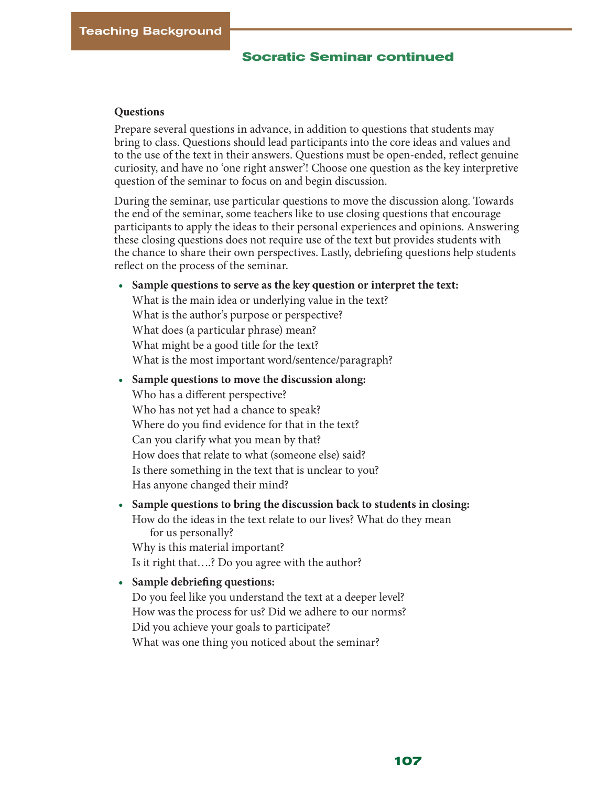## **Socratic Seminar continued**

#### **Questions**

Prepare several questions in advance, in addition to questions that students may bring to class. Questions should lead participants into the core ideas and values and to the use of the text in their answers. Questions must be open-ended, reflect genuine curiosity, and have no 'one right answer'! Choose one question as the key interpretive question of the seminar to focus on and begin discussion.

During the seminar, use particular questions to move the discussion along. Towards the end of the seminar, some teachers like to use closing questions that encourage participants to apply the ideas to their personal experiences and opinions. Answering these closing questions does not require use of the text but provides students with the chance to share their own perspectives. Lastly, debriefing questions help students reflect on the process of the seminar.

- **• Sample questions to serve as the key question or interpret the text:** What is the main idea or underlying value in the text? What is the author's purpose or perspective? What does (a particular phrase) mean? What might be a good title for the text? What is the most important word/sentence/paragraph?
- **• Sample questions to move the discussion along:** Who has a different perspective? Who has not yet had a chance to speak? Where do you find evidence for that in the text? Can you clarify what you mean by that? How does that relate to what (someone else) said? Is there something in the text that is unclear to you? Has anyone changed their mind?
- **• Sample questions to bring the discussion back to students in closing:** How do the ideas in the text relate to our lives? What do they mean for us personally? Why is this material important?

Is it right that….? Do you agree with the author?

**• Sample debriefing questions:** Do you feel like you understand the text at a deeper level? How was the process for us? Did we adhere to our norms? Did you achieve your goals to participate? What was one thing you noticed about the seminar?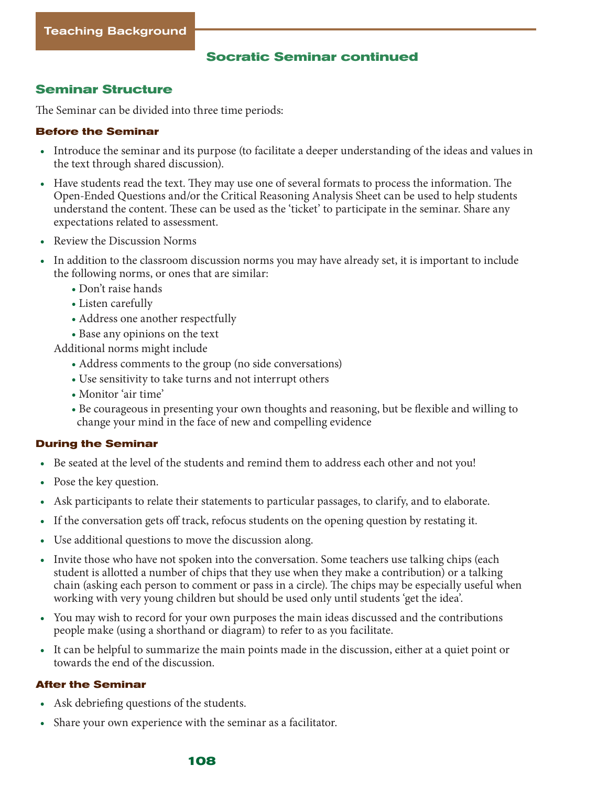## **Socratic Seminar continued**

## **Seminar Structure**

The Seminar can be divided into three time periods:

### **Before the Seminar**

- Introduce the seminar and its purpose (to facilitate a deeper understanding of the ideas and values in the text through shared discussion).
- Have students read the text. They may use one of several formats to process the information. The Open-Ended Questions and/or the Critical Reasoning Analysis Sheet can be used to help students understand the content. These can be used as the 'ticket' to participate in the seminar. Share any expectations related to assessment.
- Review the Discussion Norms
- In addition to the classroom discussion norms you may have already set, it is important to include the following norms, or ones that are similar:
	- Don't raise hands
	- Listen carefully
	- Address one another respectfully
	- Base any opinions on the text

Additional norms might include

- Address comments to the group (no side conversations)
- Use sensitivity to take turns and not interrupt others
- Monitor 'air time'
- Be courageous in presenting your own thoughts and reasoning, but be flexible and willing to change your mind in the face of new and compelling evidence

### **During the Seminar**

- Be seated at the level of the students and remind them to address each other and not you!
- Pose the key question.
- Ask participants to relate their statements to particular passages, to clarify, and to elaborate.
- If the conversation gets off track, refocus students on the opening question by restating it.
- Use additional questions to move the discussion along.
- Invite those who have not spoken into the conversation. Some teachers use talking chips (each student is allotted a number of chips that they use when they make a contribution) or a talking chain (asking each person to comment or pass in a circle). The chips may be especially useful when working with very young children but should be used only until students 'get the idea'.
- You may wish to record for your own purposes the main ideas discussed and the contributions people make (using a shorthand or diagram) to refer to as you facilitate.
- It can be helpful to summarize the main points made in the discussion, either at a quiet point or towards the end of the discussion.

### **After the Seminar**

- Ask debriefing questions of the students.
- Share your own experience with the seminar as a facilitator.

#### **108**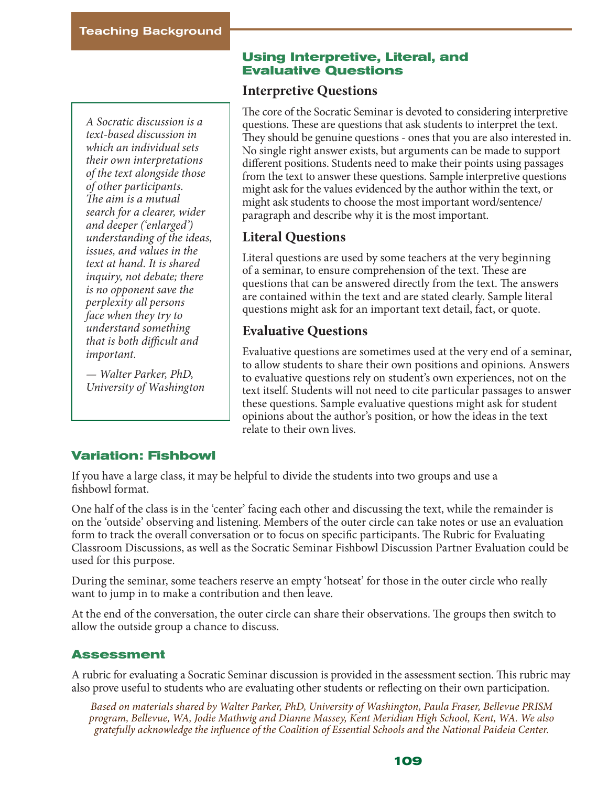*A Socratic discussion is a text-based discussion in which an individual sets their own interpretations of the text alongside those of other participants. The aim is a mutual search for a clearer, wider and deeper ('enlarged') understanding of the ideas, issues, and values in the text at hand. It is shared inquiry, not debate; there is no opponent save the perplexity all persons face when they try to understand something that is both difficult and important.* 

*— Walter Parker, PhD, University of Washington*

## **Using Interpretive, Literal, and Evaluative Questions**

## **Interpretive Questions**

The core of the Socratic Seminar is devoted to considering interpretive questions. These are questions that ask students to interpret the text. They should be genuine questions - ones that you are also interested in. No single right answer exists, but arguments can be made to support different positions. Students need to make their points using passages from the text to answer these questions. Sample interpretive questions might ask for the values evidenced by the author within the text, or might ask students to choose the most important word/sentence/ paragraph and describe why it is the most important.

# **Literal Questions**

Literal questions are used by some teachers at the very beginning of a seminar, to ensure comprehension of the text. These are questions that can be answered directly from the text. The answers are contained within the text and are stated clearly. Sample literal questions might ask for an important text detail, fact, or quote.

# **Evaluative Questions**

Evaluative questions are sometimes used at the very end of a seminar, to allow students to share their own positions and opinions. Answers to evaluative questions rely on student's own experiences, not on the text itself. Students will not need to cite particular passages to answer these questions. Sample evaluative questions might ask for student opinions about the author's position, or how the ideas in the text relate to their own lives.

## **Variation: Fishbowl**

If you have a large class, it may be helpful to divide the students into two groups and use a fishbowl format.

One half of the class is in the 'center' facing each other and discussing the text, while the remainder is on the 'outside' observing and listening. Members of the outer circle can take notes or use an evaluation form to track the overall conversation or to focus on specific participants. The Rubric for Evaluating Classroom Discussions, as well as the Socratic Seminar Fishbowl Discussion Partner Evaluation could be used for this purpose.

During the seminar, some teachers reserve an empty 'hotseat' for those in the outer circle who really want to jump in to make a contribution and then leave.

At the end of the conversation, the outer circle can share their observations. The groups then switch to allow the outside group a chance to discuss.

## **Assessment**

A rubric for evaluating a Socratic Seminar discussion is provided in the assessment section. This rubric may also prove useful to students who are evaluating other students or reflecting on their own participation.

*Based on materials shared by Walter Parker, PhD, University of Washington, Paula Fraser, Bellevue PRISM program, Bellevue, WA, Jodie Mathwig and Dianne Massey, Kent Meridian High School, Kent, WA. We also gratefully acknowledge the influence of the Coalition of Essential Schools and the National Paideia Center.*

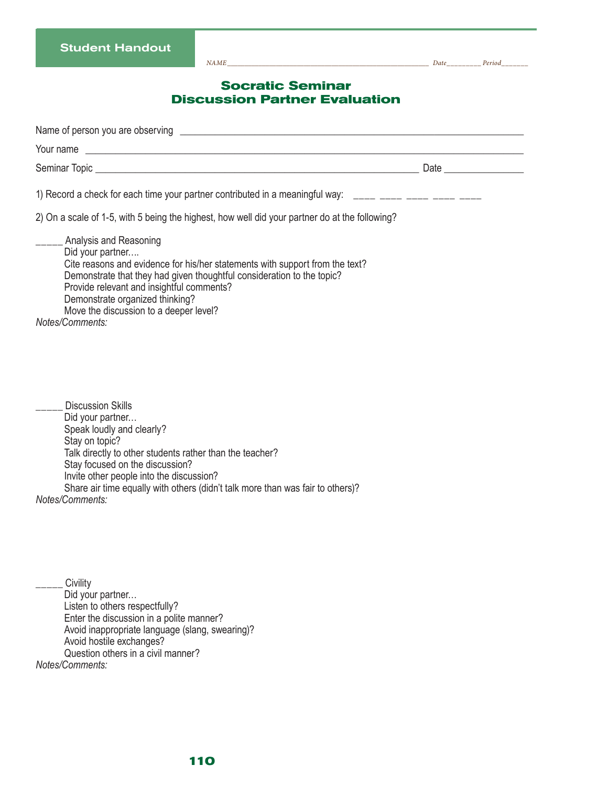*NAME\_\_\_\_\_\_\_\_\_\_\_\_\_\_\_\_\_\_\_\_\_\_\_\_\_\_\_\_\_\_\_\_\_\_\_\_\_\_\_\_\_\_\_\_\_\_\_\_\_\_\_\_\_\_\_\_\_\_ Date\_\_\_\_\_\_\_\_\_ Period\_\_\_\_\_\_\_*

## **Socratic Seminar Discussion Partner Evaluation**

|                                                                                                                                                                                                                                                                                                                                                       | Date and the contract of the contract of the contract of the contract of the contract of the contract of the contract of the contract of the contract of the contract of the contract of the contract of the contract of the c |
|-------------------------------------------------------------------------------------------------------------------------------------------------------------------------------------------------------------------------------------------------------------------------------------------------------------------------------------------------------|--------------------------------------------------------------------------------------------------------------------------------------------------------------------------------------------------------------------------------|
| 1) Record a check for each time your partner contributed in a meaningful way: _____ ____ ____ ____ ____                                                                                                                                                                                                                                               |                                                                                                                                                                                                                                |
| 2) On a scale of 1-5, with 5 being the highest, how well did your partner do at the following?                                                                                                                                                                                                                                                        |                                                                                                                                                                                                                                |
| ___ Analysis and Reasoning<br>Did your partner<br>Cite reasons and evidence for his/her statements with support from the text?<br>Demonstrate that they had given thoughtful consideration to the topic?<br>Provide relevant and insightful comments?<br>Demonstrate organized thinking?<br>Move the discussion to a deeper level?<br>Notes/Comments: |                                                                                                                                                                                                                                |
| <b>Discussion Skills</b><br>Did your partner<br>Speak loudly and clearly?<br>Stay on topic?<br>Tells directly to other otudents rether than the teacher?                                                                                                                                                                                              |                                                                                                                                                                                                                                |

Talk directly to other students rather than the teacher?

Stay focused on the discussion? Invite other people into the discussion?

Share air time equally with others (didn't talk more than was fair to others)?

*Notes/Comments:*

**Civility** Did your partner… Listen to others respectfully? Enter the discussion in a polite manner? Avoid inappropriate language (slang, swearing)? Avoid hostile exchanges? Question others in a civil manner? *Notes/Comments:*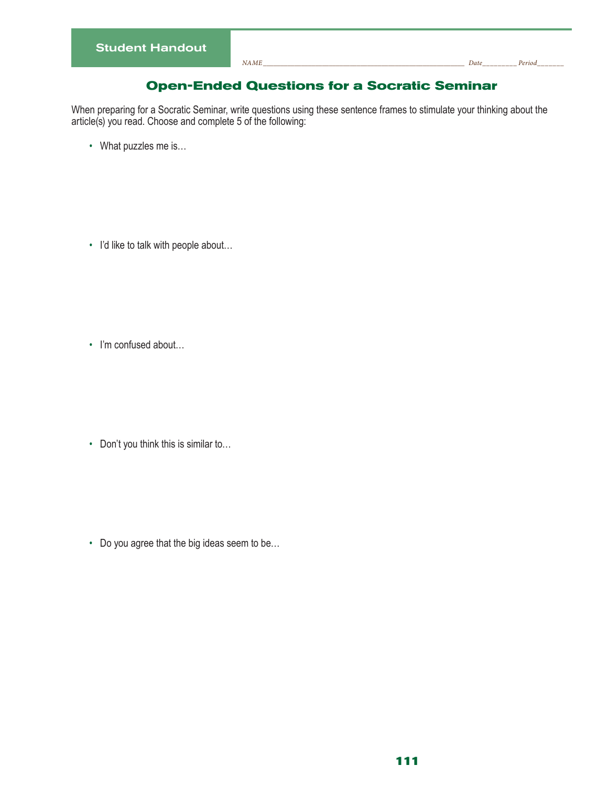## **Open-Ended Questions for a Socratic Seminar**

When preparing for a Socratic Seminar, write questions using these sentence frames to stimulate your thinking about the article(s) you read. Choose and complete 5 of the following:

• What puzzles me is…

• I'd like to talk with people about…

• I'm confused about...

• Don't you think this is similar to…

• Do you agree that the big ideas seem to be…